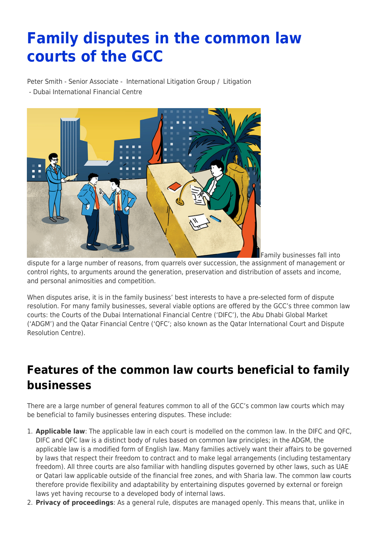# **Family disputes in the common law courts of the GCC**

Peter Smith - Senior Associate - [International Litigation Group](https://www.tamimi.com/client-services/practices/international-litigation-group/) / [Litigation](https://www.tamimi.com/client-services/practices/litigation/) - [Dubai International Financial Centre](https://www.tamimi.com/locations/uae/)



Family businesses fall into

dispute for a large number of reasons, from quarrels over succession, the assignment of management or control rights, to arguments around the generation, preservation and distribution of assets and income, and personal animosities and competition.

When disputes arise, it is in the family business' best interests to have a pre-selected form of dispute resolution. For many family businesses, several viable options are offered by the GCC's three common law courts: the Courts of the Dubai International Financial Centre ('DIFC'), the Abu Dhabi Global Market ('ADGM') and the Qatar Financial Centre ('QFC'; also known as the Qatar International Court and Dispute Resolution Centre).

#### **Features of the common law courts beneficial to family businesses**

There are a large number of general features common to all of the GCC's common law courts which may be beneficial to family businesses entering disputes. These include:

- 1. **Applicable law**: The applicable law in each court is modelled on the common law. In the DIFC and QFC, DIFC and QFC law is a distinct body of rules based on common law principles; in the ADGM, the applicable law is a modified form of English law. Many families actively want their affairs to be governed by laws that respect their freedom to contract and to make legal arrangements (including testamentary freedom). All three courts are also familiar with handling disputes governed by other laws, such as UAE or Qatari law applicable outside of the financial free zones, and with Sharia law. The common law courts therefore provide flexibility and adaptability by entertaining disputes governed by external or foreign laws yet having recourse to a developed body of internal laws.
- 2. **Privacy of proceedings**: As a general rule, disputes are managed openly. This means that, unlike in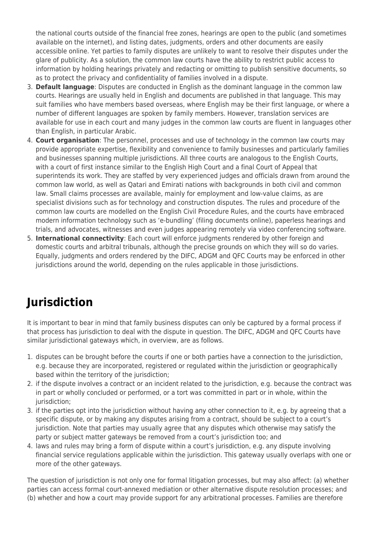the national courts outside of the financial free zones, hearings are open to the public (and sometimes available on the internet), and listing dates, judgments, orders and other documents are easily accessible online. Yet parties to family disputes are unlikely to want to resolve their disputes under the glare of publicity. As a solution, the common law courts have the ability to restrict public access to information by holding hearings privately and redacting or omitting to publish sensitive documents, so as to protect the privacy and confidentiality of families involved in a dispute.

- 3. **Default language**: Disputes are conducted in English as the dominant language in the common law courts. Hearings are usually held in English and documents are published in that language. This may suit families who have members based overseas, where English may be their first language, or where a number of different languages are spoken by family members. However, translation services are available for use in each court and many judges in the common law courts are fluent in languages other than English, in particular Arabic.
- 4. **Court organisation**: The personnel, processes and use of technology in the common law courts may provide appropriate expertise, flexibility and convenience to family businesses and particularly families and businesses spanning multiple jurisdictions. All three courts are analogous to the English Courts, with a court of first instance similar to the English High Court and a final Court of Appeal that superintends its work. They are staffed by very experienced judges and officials drawn from around the common law world, as well as Qatari and Emirati nations with backgrounds in both civil and common law. Small claims processes are available, mainly for employment and low-value claims, as are specialist divisions such as for technology and construction disputes. The rules and procedure of the common law courts are modelled on the English Civil Procedure Rules, and the courts have embraced modern information technology such as 'e-bundling' (filing documents online), paperless hearings and trials, and advocates, witnesses and even judges appearing remotely via video conferencing software.
- 5. **International connectivity**: Each court will enforce judgments rendered by other foreign and domestic courts and arbitral tribunals, although the precise grounds on which they will so do varies. Equally, judgments and orders rendered by the DIFC, ADGM and QFC Courts may be enforced in other jurisdictions around the world, depending on the rules applicable in those jurisdictions.

# **Jurisdiction**

It is important to bear in mind that family business disputes can only be captured by a formal process if that process has jurisdiction to deal with the dispute in question. The DIFC, ADGM and QFC Courts have similar jurisdictional gateways which, in overview, are as follows.

- 1. disputes can be brought before the courts if one or both parties have a connection to the jurisdiction, e.g. because they are incorporated, registered or regulated within the jurisdiction or geographically based within the territory of the jurisdiction;
- 2. if the dispute involves a contract or an incident related to the jurisdiction, e.g. because the contract was in part or wholly concluded or performed, or a tort was committed in part or in whole, within the jurisdiction:
- 3. if the parties opt into the jurisdiction without having any other connection to it, e.g. by agreeing that a specific dispute, or by making any disputes arising from a contract, should be subject to a court's jurisdiction. Note that parties may usually agree that any disputes which otherwise may satisfy the party or subject matter gateways be removed from a court's jurisdiction too; and
- 4. laws and rules may bring a form of dispute within a court's jurisdiction, e.g. any dispute involving financial service regulations applicable within the jurisdiction. This gateway usually overlaps with one or more of the other gateways.

The question of jurisdiction is not only one for formal litigation processes, but may also affect: (a) whether parties can access formal court-annexed mediation or other alternative dispute resolution processes; and (b) whether and how a court may provide support for any arbitrational processes. Families are therefore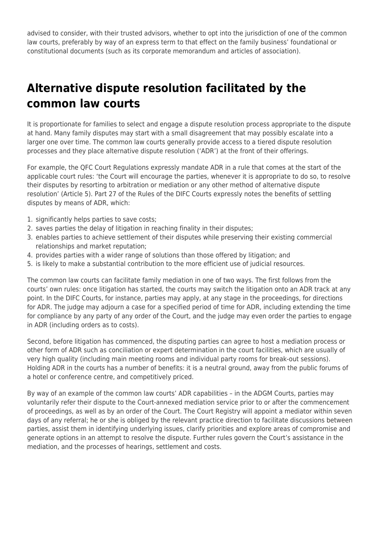advised to consider, with their trusted advisors, whether to opt into the jurisdiction of one of the common law courts, preferably by way of an express term to that effect on the family business' foundational or constitutional documents (such as its corporate memorandum and articles of association).

## **Alternative dispute resolution facilitated by the common law courts**

It is proportionate for families to select and engage a dispute resolution process appropriate to the dispute at hand. Many family disputes may start with a small disagreement that may possibly escalate into a larger one over time. The common law courts generally provide access to a tiered dispute resolution processes and they place alternative dispute resolution ('ADR') at the front of their offerings.

For example, the QFC Court Regulations expressly mandate ADR in a rule that comes at the start of the applicable court rules: 'the Court will encourage the parties, whenever it is appropriate to do so, to resolve their disputes by resorting to arbitration or mediation or any other method of alternative dispute resolution' (Article 5). Part 27 of the Rules of the DIFC Courts expressly notes the benefits of settling disputes by means of ADR, which:

- 1. significantly helps parties to save costs;
- 2. saves parties the delay of litigation in reaching finality in their disputes;
- 3. enables parties to achieve settlement of their disputes while preserving their existing commercial relationships and market reputation;
- 4. provides parties with a wider range of solutions than those offered by litigation; and
- 5. is likely to make a substantial contribution to the more efficient use of judicial resources.

The common law courts can facilitate family mediation in one of two ways. The first follows from the courts' own rules: once litigation has started, the courts may switch the litigation onto an ADR track at any point. In the DIFC Courts, for instance, parties may apply, at any stage in the proceedings, for directions for ADR. The judge may adjourn a case for a specified period of time for ADR, including extending the time for compliance by any party of any order of the Court, and the judge may even order the parties to engage in ADR (including orders as to costs).

Second, before litigation has commenced, the disputing parties can agree to host a mediation process or other form of ADR such as conciliation or expert determination in the court facilities, which are usually of very high quality (including main meeting rooms and individual party rooms for break-out sessions). Holding ADR in the courts has a number of benefits: it is a neutral ground, away from the public forums of a hotel or conference centre, and competitively priced.

By way of an example of the common law courts' ADR capabilities – in the ADGM Courts, parties may voluntarily refer their dispute to the Court-annexed mediation service prior to or after the commencement of proceedings, as well as by an order of the Court. The Court Registry will appoint a mediator within seven days of any referral; he or she is obliged by the relevant practice direction to facilitate discussions between parties, assist them in identifying underlying issues, clarify priorities and explore areas of compromise and generate options in an attempt to resolve the dispute. Further rules govern the Court's assistance in the mediation, and the processes of hearings, settlement and costs.